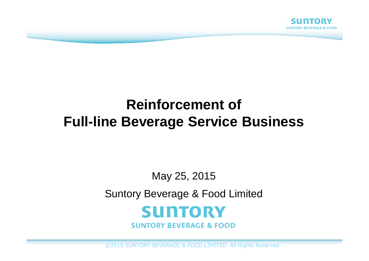

# **Reinforcement ofFull-line Beverage Service Business**

#### May 25, 2015

Suntory Beverage & Food Limited



**SUNTORY BEVERAGE & FOOD** 

©2015 SUNTORY BEVERAGE & FOOD LIMITED. All Rights Reserved.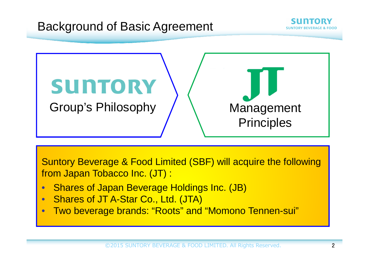

Suntory Beverage & Food Limited (SBF) will acquire the following from Japan Tobacco Inc. (JT) :

- •Shares of Japan Beverage Holdings Inc. (JB)
- •Shares of JT A-Star Co., Ltd. (JTA)
- •Two beverage brands: "Roots" and "Momono Tennen-sui"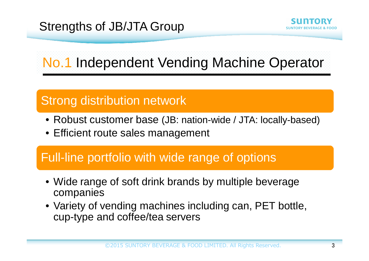# Strengths of JB/JTA Group



No.1 Independent Vending Machine Operator

# Strong distribution network

- Robust customer base (JB: nation-wide / JTA: locally-based)
- Efficient route sales management

### Full-line portfolio with wide range of options

- Wide range of soft drink brands by multiple beverage companies
- Variety of vending machines including can, PET bottle, cup-type and coffee/tea servers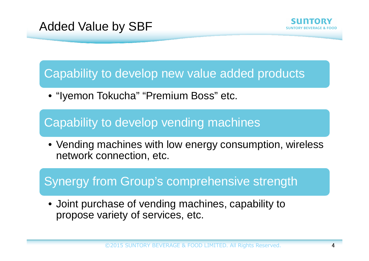#### Capability to develop new value added products

• "Iyemon Tokucha" "Premium Boss" etc.

# Capability to develop vending machines

• Vending machines with low energy consumption, wireless network connection, etc.

#### Synergy from Group's comprehensive strength

• Joint purchase of vending machines, capability to propose variety of services, etc.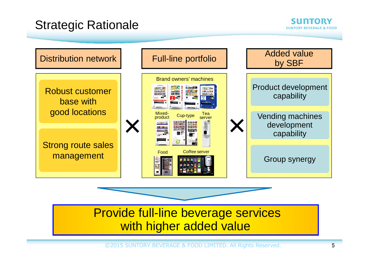### Strategic Rationale



### Provide full-line beverage services with higher added value

 $\textcircled{\texttt{2015}}$  SUNTORY BEVERAGE & FOOD LIMITED. All Rights Reserved.  $\text{\bf 5}$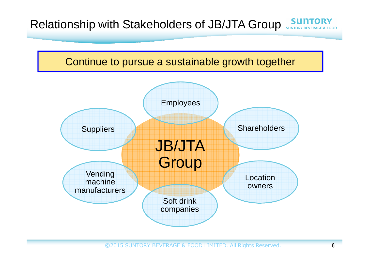### Relationship with Stakeholders of JB/JTA Group SUNT

#### Continue to pursue a sustainable growth together

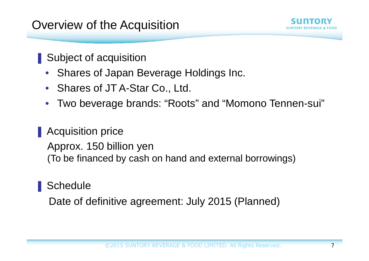# Overview of the Acquisition

Subject of acquisition

- Shares of Japan Beverage Holdings Inc.
- Shares of JT A-Star Co., Ltd.
- •Two beverage brands: "Roots" and "Momono Tennen-sui"

# **Acquisition price**

Approx. 150 billion yen(To be financed by cash on hand and external borrowings)

#### **Schedule**

ਾ<br>ਮਾਮਾਰਾ<br>ਮ

Date of definitive agreement: July 2015 (Planned)